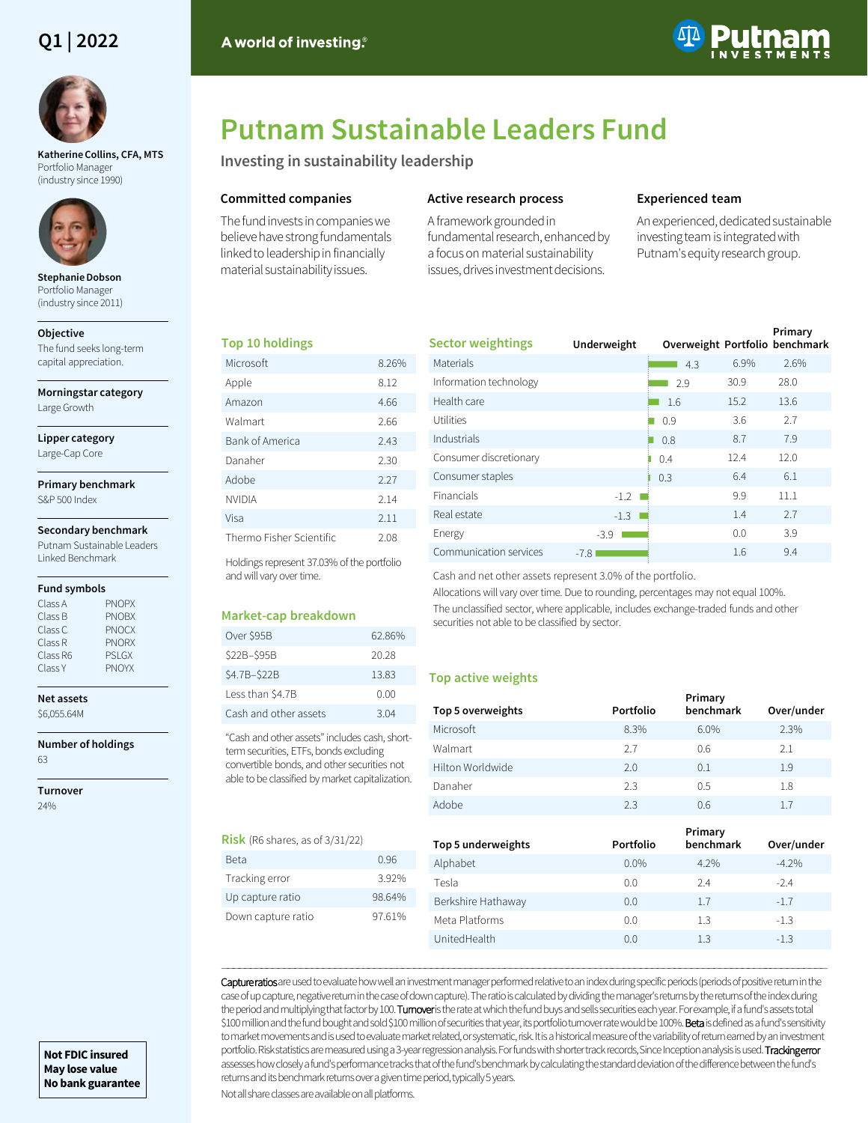# **Q1 | 2022**



**Katherine Collins, CFA, MTS**  Portfolio Manager (industry since 1990)



**Stephanie Dobson**  Portfolio Manager (industry since 2011)

#### **Objective**

The fund seeks long-term capital appreciation.

**Morningstar category**

Large Growth

## **Lipper category**

Large-Cap Core

**Primary benchmark** S&P 500 Index

#### **Secondary benchmark**

Putnam Sustainable Leaders Linked Benchmark

#### **Fund symbols**

| Class A  | <b>PNOPX</b> |
|----------|--------------|
| Class B  | <b>PNOBX</b> |
| Class C  | <b>PNOCX</b> |
| Class R  | <b>PNORX</b> |
| Class R6 | <b>PSLGX</b> |
| Class Y  | <b>PNOYX</b> |
|          |              |

#### **Net assets** \$6,055.64M

**Number of holdings** 63

**Turnover**

24%

## A world of investing.



# **Putnam Sustainable Leaders Fund**

**Investing in sustainability leadership**

## **Committed companies**

The fund invests in companies we believe have strong fundamentals linked to leadership in financially material sustainability issues.

## **Active research process**

A framework grounded in fundamental research, enhanced by a focus on material sustainability issues, drives investment decisions.

## **Experienced team**

An experienced, dedicated sustainable investing team is integrated with Putnam's equity research group.

## **Top 10 holdings**

| Microsoft                | 8.26% |
|--------------------------|-------|
| Apple                    | 8.12  |
| Amazon                   | 4.66  |
| Walmart                  | 2.66  |
| Bank of America          | 2.43  |
| Danaher                  | 2.30  |
| Adobe                    | 2.27  |
| NVIDIA                   | 2.14  |
| Visa                     | 2.11  |
| Thermo Fisher Scientific | 2.08  |

Holdings represent 37.03% of the portfolio and will vary over time.

## **Market-cap breakdown**

| Over \$95B            | 62.86% |
|-----------------------|--------|
| \$22B-\$95B           | 20.28  |
| \$4.7B-\$22B          | 13.83  |
| Less than \$4.7B      | 0.00   |
| Cash and other assets | 3.04   |

"Cash and other assets" includes cash, shortterm securities, ETFs, bonds excluding convertible bonds, and other securities not able to be classified by market capitalization.

#### **Risk** (R6 shares, as of 3/31/22)

| Beta               | 0.96   |
|--------------------|--------|
| Tracking error     | 392%   |
| Up capture ratio   | 98.64% |
| Down capture ratio | 97.61% |

| <b>Sector weightings</b> | Underweight | Overweight Portfolio benchmark |      | Primary |
|--------------------------|-------------|--------------------------------|------|---------|
| Materials                |             | 4.3                            | 6.9% | 2.6%    |
| Information technology   |             | 2.9                            | 30.9 | 28.0    |
| Health care              |             | 1.6                            | 15.2 | 13.6    |
| Utilities                |             | 0.9                            | 3.6  | 2.7     |
| Industrials              |             | 0.8                            | 8.7  | 7.9     |
| Consumer discretionary   |             | 0.4                            | 12.4 | 12.0    |
| Consumer staples         |             | 0.3                            | 6.4  | 6.1     |
| Financials               | $-1.2$      |                                | 9.9  | 11.1    |
| Real estate              | $-1.3$      |                                | 1.4  | 2.7     |
| Energy                   | $-3.9$      |                                | 0.0  | 3.9     |
| Communication services   | $-7.8$      |                                | 1.6  | 9.4     |

Cash and net other assets represent 3.0% of the portfolio.

Allocations will vary over time. Due to rounding, percentages may not equal 100%. The unclassified sector, where applicable, includes exchange-traded funds and other securities not able to be classified by sector.

## **Top active weights**

| Top 5 overweights | Portfolio | Primary<br>benchmark | Over/under |
|-------------------|-----------|----------------------|------------|
| Microsoft         | 8.3%      | 6.0%                 | 2.3%       |
| Walmart           | 2.7       | 0.6                  | 2.1        |
| Hilton Worldwide  | 2.0       | 0.1                  | 1.9        |
| Danaher           | 2.3       | 0.5                  | 1.8        |
| Adobe             | 2.3       | 0.6                  | 1.7        |

| Top 5 underweights | Portfolio | Primary<br>benchmark | Over/under |
|--------------------|-----------|----------------------|------------|
| Alphabet           | 0.0%      | 4.2%                 | $-4.2%$    |
| Tesla              | 0.0       | 2.4                  | $-2.4$     |
| Berkshire Hathaway | 0.0       | 1.7                  | $-1.7$     |
| Meta Platforms     | 0.0       | 1.3                  | $-1.3$     |
| UnitedHealth       | 0.0       | 1.3                  | $-1.3$     |

――――――――――――――――――――――――――――――――――――――――――――――――――――――――――――――――――――――――――――――――――――――――――――――――――――――――――― Capture ratios are used to evaluate how well an investment manager performed relative to an index during specific periods (periods of positive return in the case of up capture, negative return in the case of down capture). The ratio is calculated by dividing the manager's returns by the returns of the index during the period and multiplying that factor by 100. Turnoveris the rate at which the fund buys and sells securities each year. For example, if a fund's assets total \$100 million and the fund bought and sold \$100 million of securities that year, its portfolio turnover rate would be 100%. Beta is defined as a fund's sensitivity to market movements and is used to evaluate market related, or systematic, risk. It is a historical measure of the variability of return earned by an investment portfolio. Risk statistics are measured using a 3-year regression analysis. For funds with shorter track records, Since Inception analysis is used. Tracking error assesses how closely a fund's performance tracks that of the fund's benchmark by calculating the standard deviation of the difference between the fund's returns and its benchmark returns over a given time period, typically 5 years.

Not all share classes are available on all platforms.